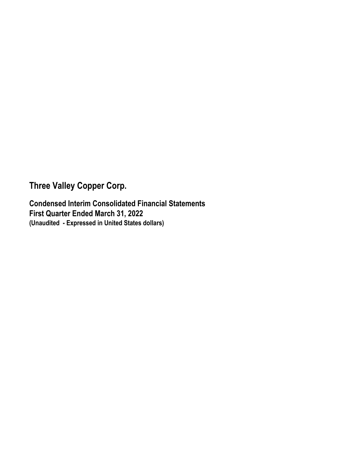**Three Valley Copper Corp.** 

**Condensed Interim Consolidated Financial Statements First Quarter Ended March 31, 2022 (Unaudited - Expressed in United States dollars)**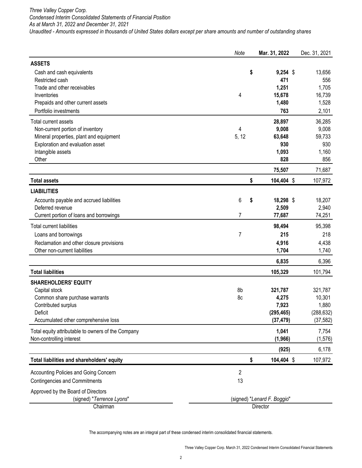*Three Valley Copper Corp. Condensed Interim Consolidated Statements of Financial Position As at March 31, 2022 and December 31, 2021 Unaudited - Amounts expressed in thousands of United States dollars except per share amounts and number of outstanding shares*

|                                                    | Note  | Mar. 31, 2022               | Dec. 31, 2021 |
|----------------------------------------------------|-------|-----------------------------|---------------|
| <b>ASSETS</b>                                      |       |                             |               |
| Cash and cash equivalents                          |       | \$<br>$9,254$ \$            | 13,656        |
| Restricted cash                                    |       | 471                         | 556           |
| Trade and other receivables                        |       | 1,251                       | 1,705         |
| Inventories                                        | 4     | 15,678                      | 16,739        |
| Prepaids and other current assets                  |       | 1,480                       | 1,528         |
| Portfolio investments                              |       | 763                         | 2,101         |
| Total current assets                               |       | 28,897                      | 36,285        |
| Non-current portion of inventory                   | 4     | 9,008                       | 9,008         |
| Mineral properties, plant and equipment            | 5, 12 | 63,648                      | 59,733        |
| Exploration and evaluation asset                   |       | 930                         | 930           |
| Intangible assets                                  |       | 1,093                       | 1,160         |
| Other                                              |       | 828                         | 856           |
|                                                    |       | 75,507                      | 71,687        |
| <b>Total assets</b>                                |       | \$<br>104,404 \$            | 107,972       |
| <b>LIABILITIES</b>                                 |       |                             |               |
| Accounts payable and accrued liabilities           | 6     | \$<br>18,298 \$             | 18,207        |
| Deferred revenue                                   |       | 2,509                       | 2,940         |
| Current portion of loans and borrowings            | 7     | 77,687                      | 74,251        |
| <b>Total current liabilities</b>                   |       | 98,494                      | 95,398        |
| Loans and borrowings                               | 7     | 215                         | 218           |
| Reclamation and other closure provisions           |       | 4,916                       | 4,438         |
| Other non-current liabilities                      |       | 1,704                       | 1,740         |
|                                                    |       | 6,835                       | 6,396         |
| <b>Total liabilities</b>                           |       | 105,329                     | 101,794       |
| <b>SHAREHOLDERS' EQUITY</b>                        |       |                             |               |
| Capital stock                                      | 8b    | 321,787                     | 321,787       |
| Common share purchase warrants                     | 8c    | 4,275                       | 10,301        |
| Contributed surplus                                |       | 7,923                       | 1,880         |
| Deficit                                            |       | (295, 465)                  | (288, 632)    |
| Accumulated other comprehensive loss               |       | (37, 479)                   | (37, 582)     |
| Total equity attributable to owners of the Company |       | 1,041                       | 7,754         |
| Non-controlling interest                           |       | (1,966)                     | (1, 576)      |
|                                                    |       | (925)                       | 6,178         |
| Total liabilities and shareholders' equity         |       | \$<br>104,404 \$            | 107,972       |
| Accounting Policies and Going Concern              | 2     |                             |               |
| <b>Contingencies and Commitments</b>               | 13    |                             |               |
| Approved by the Board of Directors                 |       |                             |               |
| (signed) "Terrence Lyons"                          |       | (signed) "Lenard F. Boggio" |               |
| Chairman                                           |       | Director                    |               |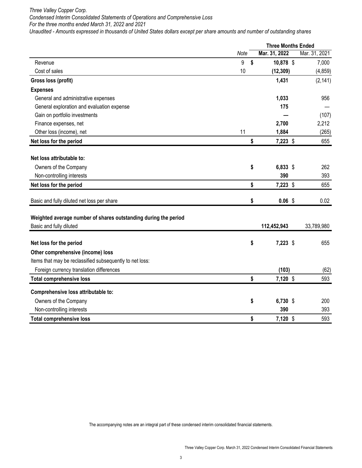*Three Valley Copper Corp.* 

*Condensed Interim Consolidated Statements of Operations and Comprehensive Loss For the three months ended March 31, 2022 and 2021*

*Unaudited - Amounts expressed in thousands of United States dollars except per share amounts and number of outstanding shares* 

|                                                                 |      |    |               | <b>Three Months Ended</b> |  |
|-----------------------------------------------------------------|------|----|---------------|---------------------------|--|
|                                                                 | Note |    | Mar. 31, 2022 | Mar. 31, 2021             |  |
| Revenue                                                         | 9    | \$ | 10,878 \$     | 7,000                     |  |
| Cost of sales                                                   | 10   |    | (12, 309)     | (4, 859)                  |  |
| Gross loss (profit)                                             |      |    | 1,431         | (2, 141)                  |  |
| <b>Expenses</b>                                                 |      |    |               |                           |  |
| General and administrative expenses                             |      |    | 1,033         | 956                       |  |
| General exploration and evaluation expense                      |      |    | 175           |                           |  |
| Gain on portfolio investments                                   |      |    |               | (107)                     |  |
| Finance expenses, net                                           |      |    | 2,700         | 2,212                     |  |
| Other loss (income), net                                        | 11   |    | 1,884         | (265)                     |  |
| Net loss for the period                                         |      | \$ | 7,223 \$      | 655                       |  |
| Net loss attributable to:                                       |      |    |               |                           |  |
| Owners of the Company                                           |      | \$ | $6,833$ \$    | 262                       |  |
| Non-controlling interests                                       |      |    | 390           | 393                       |  |
| Net loss for the period                                         |      | \$ | 7,223 \$      | 655                       |  |
| Basic and fully diluted net loss per share                      |      | \$ | $0.06$ \$     | 0.02                      |  |
| Weighted average number of shares outstanding during the period |      |    |               |                           |  |
| Basic and fully diluted                                         |      |    | 112,452,943   | 33,789,980                |  |
|                                                                 |      |    |               |                           |  |
| Net loss for the period                                         |      | \$ | $7,223$ \$    | 655                       |  |
| Other comprehensive (income) loss                               |      |    |               |                           |  |
| Items that may be reclassified subsequently to net loss:        |      |    |               |                           |  |
| Foreign currency translation differences                        |      |    | (103)         | (62)                      |  |
| <b>Total comprehensive loss</b>                                 |      | \$ | 7,120 \$      | 593                       |  |
| Comprehensive loss attributable to:                             |      |    |               |                           |  |
| Owners of the Company                                           |      | \$ | 6,730 \$      | 200                       |  |
| Non-controlling interests                                       |      |    | 390           | 393                       |  |
| <b>Total comprehensive loss</b>                                 |      | \$ | 7,120 \$      | 593                       |  |
|                                                                 |      |    |               |                           |  |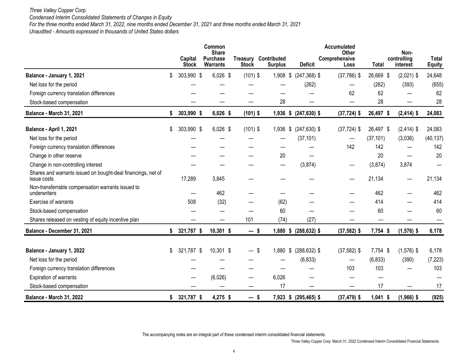# *Three Valley Copper Corp.*

*Condensed Interim Consolidated Statements of Changes in Equity*

*For the three months ended March 31, 2022, nine months ended December 31, 2021 and three months ended March 31, 2021*

*Unaudited - Amounts expressed in thousands of United States dollars* 

|                                                                             | Capital<br><b>Stock</b> | Common<br><b>Share</b><br><b>Purchase</b><br><b>Warrants</b> | <b>Treasury</b><br><b>Stock</b> | Contributed<br><b>Surplus</b> | <b>Deficit</b>        | Accumulated<br>Other<br>Comprehensive<br>Loss | <b>Total</b> | Non-<br>controlling<br>interest  | <b>Total</b><br><b>Equity</b> |
|-----------------------------------------------------------------------------|-------------------------|--------------------------------------------------------------|---------------------------------|-------------------------------|-----------------------|-----------------------------------------------|--------------|----------------------------------|-------------------------------|
| Balance - January 1, 2021                                                   | \$<br>303,990 \$        | $6,026$ \$                                                   | $(101)$ \$                      | $1,908$ \$                    | $(247, 368)$ \$       | $(37,786)$ \$                                 | 26,669 \$    | $(2,021)$ \$                     | 24,648                        |
| Net loss for the period                                                     |                         |                                                              |                                 |                               | (262)                 |                                               | (262)        | (393)                            | (655)                         |
| Foreign currency translation differences                                    |                         |                                                              |                                 |                               |                       | 62                                            | 62           |                                  | 62                            |
| Stock-based compensation                                                    |                         |                                                              |                                 | 28                            |                       |                                               | 28           |                                  | 28                            |
| <b>Balance - March 31, 2021</b>                                             | \$<br>303,990 \$        | 6,026 \$                                                     | $(101)$ \$                      |                               | 1,936 \$ (247,630) \$ | $(37, 724)$ \$                                | 26,497 \$    | $(2, 414)$ \$                    | 24,083                        |
| Balance - April 1, 2021                                                     | \$<br>303,990 \$        | $6,026$ \$                                                   | $(101)$ \$                      | 1,936                         | \$<br>$(247, 630)$ \$ | $(37, 724)$ \$                                | 26,497 \$    | $(2,414)$ \$                     | 24,083                        |
| Net loss for the period                                                     |                         |                                                              |                                 |                               | (37, 101)             | $\hspace{0.05cm}$                             | (37, 101)    | (3,036)                          | (40, 137)                     |
| Foreign currency translation differences                                    |                         |                                                              |                                 |                               |                       | 142                                           | 142          |                                  | 142                           |
| Change in other reserve                                                     |                         |                                                              |                                 | 20                            |                       |                                               | 20           |                                  | 20                            |
| Change in non-controlling interest                                          |                         |                                                              |                                 | —                             | (3,874)               | —                                             | (3,874)      | 3,874                            |                               |
| Shares and warrants issued on bought-deal financings, net of<br>issue costs | 17,289                  | 3,845                                                        |                                 |                               |                       |                                               | 21,134       | $\overbrace{\phantom{12322111}}$ | 21,134                        |
| Non-transferrable compensation warrants issued to<br>underwriters           |                         | 462                                                          |                                 |                               |                       |                                               | 462          |                                  | 462                           |
| Exercise of warrants                                                        | 508                     | (32)                                                         |                                 | (62)                          |                       |                                               | 414          |                                  | 414                           |
| Stock-based compensation                                                    |                         |                                                              |                                 | 60                            |                       |                                               | 60           |                                  | 60                            |
| Shares released on vesting of equity incentive plan                         |                         |                                                              | 101                             | (74)                          | (27)                  |                                               |              |                                  |                               |
| Balance - December 31, 2021                                                 | \$<br>321,787 \$        | 10,301 \$                                                    | — \$                            | $1,880$ \$                    | $(288, 632)$ \$       | $(37,582)$ \$                                 | 7,754 \$     | $(1,576)$ \$                     | 6,178                         |
| Balance - January 1, 2022                                                   | \$<br>321,787 \$        | 10,301 \$                                                    | — \$                            | 1,880 \$                      | $(288, 632)$ \$       | $(37,582)$ \$                                 | 7,754 \$     | $(1,576)$ \$                     | 6,178                         |
| Net loss for the period                                                     |                         |                                                              |                                 |                               | (6, 833)              |                                               | (6, 833)     | (390)                            | (7, 223)                      |
| Foreign currency translation differences                                    |                         |                                                              |                                 |                               |                       | 103                                           | 103          |                                  | 103                           |
| Expiration of warrants                                                      |                         | (6,026)                                                      |                                 | 6,026                         |                       |                                               |              |                                  |                               |
| Stock-based compensation                                                    |                         |                                                              |                                 | 17                            |                       |                                               | 17           |                                  | 17                            |
| <b>Balance - March 31, 2022</b>                                             | \$<br>321,787 \$        | 4,275 \$                                                     | —                               | - \$                          | 7,923 \$ (295,465) \$ | $(37, 479)$ \$                                | $1,041$ \$   | $(1,966)$ \$                     | (925)                         |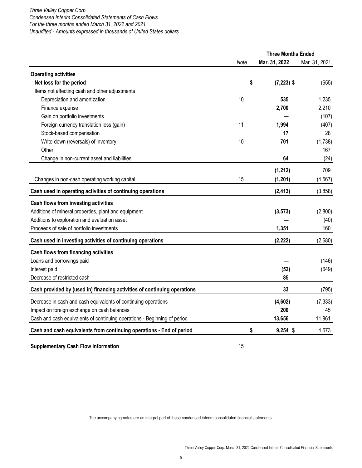# *Three Valley Copper Corp. Condensed Interim Consolidated Statements of Cash Flows For the three months ended March 31, 2022 and 2021 Unaudited - Amounts expressed in thousands of United States dollars*

|                                                                          |      | <b>Three Months Ended</b> |               |
|--------------------------------------------------------------------------|------|---------------------------|---------------|
|                                                                          | Note | Mar. 31, 2022             | Mar. 31, 2021 |
| <b>Operating activities</b>                                              |      |                           |               |
| Net loss for the period                                                  | \$   | $(7,223)$ \$              | (655)         |
| Items not affecting cash and other adjustments                           |      |                           |               |
| Depreciation and amortization                                            | 10   | 535                       | 1,235         |
| Finance expense                                                          |      | 2,700                     | 2,210         |
| Gain on portfolio investments                                            |      |                           | (107)         |
| Foreign currency translation loss (gain)                                 | 11   | 1,994                     | (407)         |
| Stock-based compensation                                                 |      | 17                        | 28            |
| Write-down (reversals) of inventory                                      | 10   | 701                       | (1,738)       |
| Other                                                                    |      |                           | 167           |
| Change in non-current asset and liabilities                              |      | 64                        | (24)          |
|                                                                          |      | (1, 212)                  | 709           |
| Changes in non-cash operating working capital                            | 15   | (1, 201)                  | (4, 567)      |
| Cash used in operating activities of continuing operations               |      | (2, 413)                  | (3,858)       |
| Cash flows from investing activities                                     |      |                           |               |
| Additions of mineral properties, plant and equipment                     |      | (3, 573)                  | (2,800)       |
| Additions to exploration and evaluation asset                            |      |                           | (40)          |
| Proceeds of sale of portfolio investments                                |      | 1,351                     | 160           |
| Cash used in investing activities of continuing operations               |      | (2, 222)                  | (2,680)       |
| Cash flows from financing activities                                     |      |                           |               |
| Loans and borrowings paid                                                |      |                           | (146)         |
| Interest paid                                                            |      | (52)                      | (649)         |
| Decrease of restricted cash                                              |      | 85                        |               |
| Cash provided by (used in) financing activities of continuing operations |      | 33                        | (795)         |
| Decrease in cash and cash equivalents of continuing operations           |      | (4,602)                   | (7, 333)      |
| Impact on foreign exchange on cash balances                              |      | 200                       | 45            |
| Cash and cash equivalents of continuing operations - Beginning of period |      | 13,656                    | 11,961        |
| Cash and cash equivalents from continuing operations - End of period     | \$   | $9,254$ \$                | 4,673         |

# **Supplementary Cash Flow Information** 15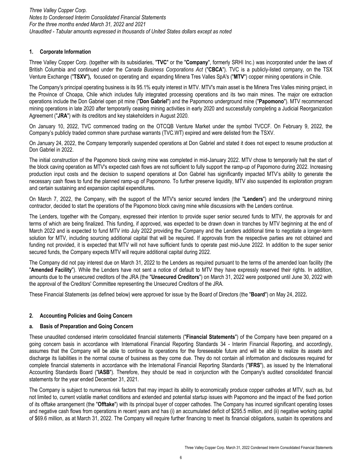# **1. Corporate Information**

Three Valley Copper Corp. (together with its subsidiaries, "**TVC**" or the "**Company**", formerly SRHI Inc.) was incorporated under the laws of British Columbia and continued under the *Canada Business Corporations Act* ("**CBCA**"). TVC is a publicly-listed company, on the TSX Venture Exchange ("**TSXV**"**),** focused on operating and expanding Minera Tres Valles SpA's ("**MTV**") copper mining operations in Chile.

The Company's principal operating business is its 95.1% equity interest in MTV. MTV's main asset is the Minera Tres Valles mining project, in the Province of Choapa, Chile which includes fully integrated processing operations and its two main mines. The major ore extraction operations include the Don Gabriel open pit mine ("**Don Gabriel**") and the Papomono underground mine ("**Papomono**"). MTV recommenced mining operations in late 2020 after temporarily ceasing mining activities in early 2020 and successfully completing a Judicial Reorganization Agreement ("**JRA**") with its creditors and key stakeholders in August 2020.

On January 10, 2022, TVC commenced trading on the OTCQB Venture Market under the symbol TVCCF. On February 9, 2022, the Company's publicly traded common share purchase warrants (TVC.WT) expired and were delisted from the TSXV.

On January 24, 2022, the Company temporarily suspended operations at Don Gabriel and stated it does not expect to resume production at Don Gabriel in 2022.

The initial construction of the Papomono block caving mine was completed in mid-January 2022. MTV chose to temporarily halt the start of the block caving operation as MTV's expected cash flows are not sufficient to fully support the ramp-up of Papomono during 2022. Increasing production input costs and the decision to suspend operations at Don Gabriel has significantly impacted MTV's ability to generate the necessary cash flows to fund the planned ramp-up of Papomono. To further preserve liquidity, MTV also suspended its exploration program and certain sustaining and expansion capital expenditures.

On March 7, 2022, the Company, with the support of the MTV's senior secured lenders (the "**Lenders**") and the underground mining contractor, decided to start the operations of the Papomono block caving mine while discussions with the Lenders continue.

The Lenders, together with the Company, expressed their intention to provide super senior secured funds to MTV, the approvals for and terms of which are being finalized. This funding, if approved, was expected to be drawn down in tranches by MTV beginning at the end of March 2022 and is expected to fund MTV into July 2022 providing the Company and the Lenders additional time to negotiate a longer-term solution for MTV, including sourcing additional capital that will be required. If approvals from the respective parties are not obtained and funding not provided, it is expected that MTV will not have sufficient funds to operate past mid-June 2022. In addition to the super senior secured funds, the Company expects MTV will require additional capital during 2022.

The Company did not pay interest due on March 31, 2022 to the Lenders as required pursuant to the terms of the amended loan facility (the "**Amended Facility**"). While the Lenders have not sent a notice of default to MTV they have expressly reserved their rights. In addition, amounts due to the unsecured creditors of the JRA (the "**Unsecured Creditors**") on March 31, 2022 were postponed until June 30, 2022 with the approval of the Creditors' Committee representing the Unsecured Creditors of the JRA.

These Financial Statements (as defined below) were approved for issue by the Board of Directors (the "**Board**") on May 24, 2022**.**

# **2. Accounting Policies and Going Concern**

# **a. Basis of Preparation and Going Concern**

These unaudited condensed interim consolidated financial statements ("**Financial Statements**") of the Company have been prepared on a going concern basis in accordance with International Financial Reporting Standards 34 - Interim Financial Reporting, and accordingly, assumes that the Company will be able to continue its operations for the foreseeable future and will be able to realize its assets and discharge its liabilities in the normal course of business as they come due. They do not contain all information and disclosures required for complete financial statements in accordance with the International Financial Reporting Standards ("**IFRS**"), as issued by the International Accounting Standards Board ("**IASB**"). Therefore, they should be read in conjunction with the Company's audited consolidated financial statements for the year ended December 31, 2021.

The Company is subject to numerous risk factors that may impact its ability to economically produce copper cathodes at MTV, such as, but not limited to, current volatile market conditions and extended and potential startup issues with Papomono and the impact of the fixed portion of its offtake arrangement (the "**Offtake**") with its principal buyer of copper cathodes. The Company has incurred significant operating losses and negative cash flows from operations in recent years and has (i) an accumulated deficit of \$295.5 million, and (ii) negative working capital of \$69.6 million, as at March 31, 2022. The Company will require further financing to meet its financial obligations, sustain its operations and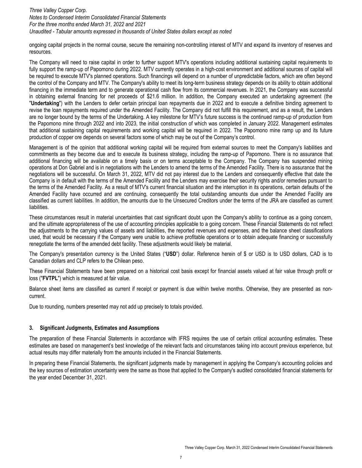ongoing capital projects in the normal course, secure the remaining non-controlling interest of MTV and expand its inventory of reserves and resources.

The Company will need to raise capital in order to further support MTV's operations including additional sustaining capital requirements to fully support the ramp-up of Papomono during 2022. MTV currently operates in a high-cost environment and additional sources of capital will be required to execute MTV's planned operations. Such financings will depend on a number of unpredictable factors, which are often beyond the control of the Company and MTV. The Company's ability to meet its long-term business strategy depends on its ability to obtain additional financing in the immediate term and to generate operational cash flow from its commercial revenues. In 2021, the Company was successful in obtaining external financing for net proceeds of \$21.6 million. In addition, the Company executed an undertaking agreement (the "**Undertaking**") with the Lenders to defer certain principal loan repayments due in 2022 and to execute a definitive binding agreement to revise the loan repayments required under the Amended Facility. The Company did not fulfill this requirement, and as a result, the Lenders are no longer bound by the terms of the Undertaking. A key milestone for MTV's future success is the continued ramp-up of production from the Papomono mine through 2022 and into 2023, the initial construction of which was completed in January 2022. Management estimates that additional sustaining capital requirements and working capital will be required in 2022. The Papomono mine ramp up and its future production of copper ore depends on several factors some of which may be out of the Company's control.

Management is of the opinion that additional working capital will be required from external sources to meet the Company's liabilities and commitments as they become due and to execute its business strategy, including the ramp-up of Papomono. There is no assurance that additional financing will be available on a timely basis or on terms acceptable to the Company. The Company has suspended mining operations at Don Gabriel and is in negotiations with the Lenders to amend the terms of the Amended Facility. There is no assurance that the negotiations will be successful. On March 31, 2022, MTV did not pay interest due to the Lenders and consequently effective that date the Company is in default with the terms of the Amended Facility and the Lenders may exercise their security rights and/or remedies pursuant to the terms of the Amended Facility. As a result of MTV's current financial situation and the interruption in its operations, certain defaults of the Amended Facility have occurred and are continuing, consequently the total outstanding amounts due under the Amended Facility are classified as current liabilities. In addition, the amounts due to the Unsecured Creditors under the terms of the JRA are classified as current liabilities.

These circumstances result in material uncertainties that cast significant doubt upon the Company's ability to continue as a going concern, and the ultimate appropriateness of the use of accounting principles applicable to a going concern. These Financial Statements do not reflect the adjustments to the carrying values of assets and liabilities, the reported revenues and expenses, and the balance sheet classifications used, that would be necessary if the Company were unable to achieve profitable operations or to obtain adequate financing or successfully renegotiate the terms of the amended debt facility. These adjustments would likely be material.

The Company's presentation currency is the United States ("**USD**") dollar. Reference herein of \$ or USD is to USD dollars, CAD is to Canadian dollars and CLP refers to the Chilean peso.

These Financial Statements have been prepared on a historical cost basis except for financial assets valued at fair value through profit or loss ("**FVTPL**") which is measured at fair value.

Balance sheet items are classified as current if receipt or payment is due within twelve months. Otherwise, they are presented as noncurrent.

Due to rounding, numbers presented may not add up precisely to totals provided.

# **3. Significant Judgments, Estimates and Assumptions**

The preparation of these Financial Statements in accordance with IFRS requires the use of certain critical accounting estimates. These estimates are based on management's best knowledge of the relevant facts and circumstances taking into account previous experience, but actual results may differ materially from the amounts included in the Financial Statements.

In preparing these Financial Statements, the significant judgments made by management in applying the Company's accounting policies and the key sources of estimation uncertainty were the same as those that applied to the Company's audited consolidated financial statements for the year ended December 31, 2021.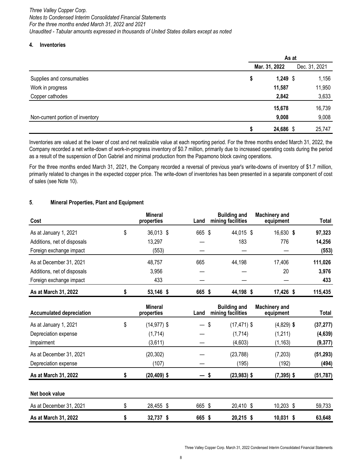### **4. Inventories**

|                                  | As at |               |  |               |
|----------------------------------|-------|---------------|--|---------------|
|                                  |       | Mar. 31, 2022 |  | Dec. 31, 2021 |
| Supplies and consumables         | \$    | $1,249$ \$    |  | 1,156         |
| Work in progress                 |       | 11,587        |  | 11,950        |
| Copper cathodes                  |       | 2,842         |  | 3,633         |
|                                  |       | 15,678        |  | 16,739        |
| Non-current portion of inventory |       | 9,008         |  | 9,008         |
|                                  | S     | 24,686 \$     |  | 25,747        |

Inventories are valued at the lower of cost and net realizable value at each reporting period. For the three months ended March 31, 2022, the Company recorded a net write-down of work-in-progress inventory of \$0.7 million, primarily due to increased operating costs during the period as a result of the suspension of Don Gabriel and minimal production from the Papamono block caving operations.

For the three months ended March 31, 2021, the Company recorded a reversal of previous year's write-downs of inventory of \$1.7 million, primarily related to changes in the expected copper price. The write-down of inventories has been presented in a separate component of cost of sales (see Note 10).

# **5**. **Mineral Properties, Plant and Equipment**

| Cost                        | <b>Mineral</b><br>properties | Land   | <b>Building and</b><br>mining facilities | <b>Machinery and</b><br>equipment | Total   |
|-----------------------------|------------------------------|--------|------------------------------------------|-----------------------------------|---------|
| As at January 1, 2021       | \$<br>36,013 \$              | 665 \$ | 44,015 \$                                | 16,630 \$                         | 97,323  |
| Additions, net of disposals | 13,297                       |        | 183                                      | 776                               | 14,256  |
| Foreign exchange impact     | (553)                        |        |                                          |                                   | (553)   |
| As at December 31, 2021     | 48,757                       | 665    | 44,198                                   | 17,406                            | 111,026 |
| Additions, net of disposals | 3,956                        |        |                                          | 20                                | 3,976   |
| Foreign exchange impact     | 433                          |        |                                          |                                   | 433     |
| As at March 31, 2022        | 53,146 \$                    | 665 \$ | 44,198 \$                                | 17,426 \$                         | 115,435 |

| <b>Accumulated depreciation</b> | <b>Mineral</b><br>properties | Land   | <b>Building and</b><br>mining facilities | <b>Machinery and</b><br>equipment | <b>Total</b> |
|---------------------------------|------------------------------|--------|------------------------------------------|-----------------------------------|--------------|
| As at January 1, 2021           | \$<br>$(14, 977)$ \$         | $-$ \$ | $(17, 471)$ \$                           | $(4,829)$ \$                      | (37, 277)    |
| Depreciation expense            | (1,714)                      |        | (1,714)                                  | (1,211)                           | (4,639)      |
| Impairment                      | (3,611)                      |        | (4,603)                                  | (1, 163)                          | (9, 377)     |
| As at December 31, 2021         | (20, 302)                    |        | (23, 788)                                | (7, 203)                          | (51, 293)    |
| Depreciation expense            | (107)                        |        | (195)                                    | (192)                             | (494)        |
| As at March 31, 2022            | $(20, 409)$ \$               | \$     | $(23,983)$ \$                            | $(7,395)$ \$                      | (51, 787)    |
| Net book value                  |                              |        |                                          |                                   |              |
| As at December 31, 2021         | \$<br>28,455 \$              | 665 \$ | 20,410 \$                                | 10,203 \$                         | 59,733       |
| As at March 31, 2022            | \$<br>32,737 \$              | 665 \$ | 20,215 \$                                | 10,031 \$                         | 63,648       |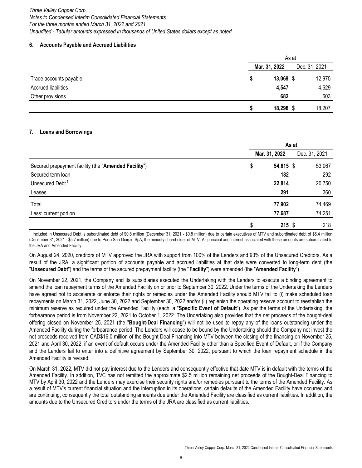## **6**. **Accounts Payable and Accrued Liabilities**

|                            |               | As at  |               |  |
|----------------------------|---------------|--------|---------------|--|
|                            | Mar. 31, 2022 |        | Dec. 31, 2021 |  |
| Trade accounts payable     |               | 13,069 | 12,975        |  |
| <b>Accrued liabilities</b> |               | 4,547  | 4,629         |  |
| Other provisions           |               | 682    | 603           |  |
|                            | S             | 18,298 | 18,207        |  |

# **7. Loans and Borrowings**

|                                                      | As at         |           |               |  |
|------------------------------------------------------|---------------|-----------|---------------|--|
|                                                      | Mar. 31, 2022 |           | Dec. 31, 2021 |  |
| Secured prepayment facility (the "Amended Facility") | \$            | 54,615 \$ | 53,067        |  |
| Secured term loan                                    |               | 182       | 292           |  |
| Unsecured Debt <sup>1</sup>                          |               | 22,814    | 20,750        |  |
| Leases                                               |               | 291       | 360           |  |
| Total                                                |               | 77,902    | 74,469        |  |
| Less: current portion                                |               | 77,687    | 74,251        |  |
|                                                      |               | $215$ \$  | 218           |  |

Included in Unsecured Debt is subordinated debt of \$0.8 million (December 31, 2021 - \$0.8 million) due to certain executives of MTV and subordinated debt of \$6.4 million (December 31, 2021 - \$5.7 million) due to Porto San Giorgio SpA, the minority shareholder of MTV. All principal and interest associated with these amounts are subordinated to the JRA and Amended Facility.

On August 24, 2020, creditors of MTV approved the JRA with support from 100% of the Lenders and 93% of the Unsecured Creditors. As a result of the JRA, a significant portion of accounts payable and accrued liabilities at that date were converted to long-term debt (the "**Unsecured Debt**") and the terms of the secured prepayment facility (the **"Facility**") were amended (the "**Amended Facility**").

On November 22, 2021, the Company and its subsidiaries executed the Undertaking with the Lenders to execute a binding agreement to amend the loan repayment terms of the Amended Facility on or prior to September 30, 2022. Under the terms of the Undertaking the Lenders have agreed not to accelerate or enforce their rights or remedies under the Amended Facility should MTV fail to (i) make scheduled loan repayments on March 31, 2022, June 30, 2022 and September 30, 2022 and/or (ii) replenish the operating reserve account to reestablish the minimum reserve as required under the Amended Facility (each, a "**Specific Event of Default**"). As per the terms of the Undertaking, the forbearance period is from November 22, 2021 to October 1, 2022. The Undertaking also provides that the net proceeds of the bought-deal offering closed on November 25, 2021 (the "**Bought-Deal Financing**") will not be used to repay any of the loans outstanding under the Amended Facility during the forbearance period. The Lenders will cease to be bound by the Undertaking should the Company not invest the net proceeds received from CAD\$16.0 million of the Bought-Deal Financing into MTV between the closing of the financing on November 25, 2021 and April 30, 2022, if an event of default occurs under the Amended Facility other than a Specified Event of Default, or if the Company and the Lenders fail to enter into a definitive agreement by September 30, 2022, pursuant to which the loan repayment schedule in the Amended Facility is revised.

On March 31, 2022, MTV did not pay interest due to the Lenders and consequently effective that date MTV is in default with the terms of the Amended Facility. In addition, TVC has not remitted the approximate \$2.5 million remaining net proceeds of the Bought-Deal Financing to MTV by April 30, 2022 and the Lenders may exercise their security rights and/or remedies pursuant to the terms of the Amended Facility. As a result of MTV's current financial situation and the interruption in its operations, certain defaults of the Amended Facility have occurred and are continuing, consequently the total outstanding amounts due under the Amended Facility are classified as current liabilities. In addition, the amounts due to the Unsecured Creditors under the terms of the JRA are classified as current liabilities.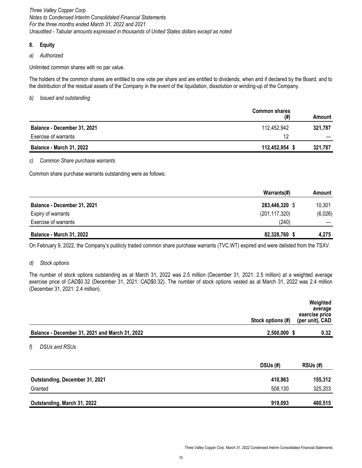# **8. Equity**

*a) Authorized*

Unlimited common shares with no par value.

The holders of the common shares are entitled to one vote per share and are entitled to dividends, when and if declared by the Board, and to the distribution of the residual assets of the Company in the event of the liquidation, dissolution or winding-up of the Company.

*b) Issued and outstanding*

|                                 | <b>Common shares</b><br>(# ) | Amount  |
|---------------------------------|------------------------------|---------|
| Balance - December 31, 2021     | 112,452,942                  | 321.787 |
| Exercise of warrants            | 12                           |         |
| <b>Balance - March 31, 2022</b> | 112,452,954                  | 321,787 |

# *c) Common Share purchase warrants*

Common share purchase warrants outstanding were as follows:

|                                 | Warrants(#)     | Amount  |
|---------------------------------|-----------------|---------|
| Balance - December 31, 2021     | 283,446,320 \$  | 10,301  |
| Expiry of warrants              | (201, 117, 320) | (6,026) |
| Exercise of warrants            | (240)           |         |
| <b>Balance - March 31, 2022</b> | 82,328,760      | 4,275   |

On February 9, 2022, the Company's publicly traded common share purchase warrants (TVC.WT) expired and were delisted from the TSXV.

# *d) Stock options*

The number of stock options outstanding as at March 31, 2022 was 2.5 million (December 31, 2021: 2.5 million) at a weighted average exercise price of CAD\$0.32 (December 31, 2021: CAD\$0.32). The number of stock options vested as at March 31, 2022 was 2.4 million (December 31, 2021: 2.4 million).

|                                                |                   | Weighted<br>average<br>exercise price |
|------------------------------------------------|-------------------|---------------------------------------|
|                                                | Stock options (#) | (per unit), CAD                       |
| Balance - December 31, 2021 and March 31, 2022 | 2,500,000 \$      | 0.32                                  |
| f)<br>DSUs and RSUs                            |                   |                                       |
|                                                | DSUs (#)          | $RSUs$ $(\#)$                         |
| Outstanding, December 31, 2021                 | 410,963           | 155,312                               |
| Granted                                        | 508,130           | 325,203                               |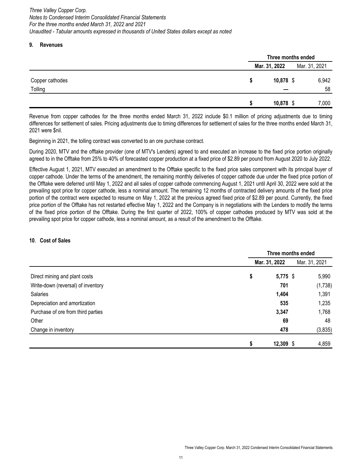## **9. Revenues**

|                            |                    | Three months ended |  |  |
|----------------------------|--------------------|--------------------|--|--|
|                            | Mar. 31, 2022      | Mar. 31, 2021      |  |  |
| Copper cathodes<br>Tolling | 10,878 $$$<br>S    | 6,942<br>58        |  |  |
|                            | $10,878$ \$<br>-11 | 7,000              |  |  |

Revenue from copper cathodes for the three months ended March 31, 2022 include \$0.1 million of pricing adjustments due to timing differences for settlement of sales. Pricing adjustments due to timing differences for settlement of sales for the three months ended March 31, 2021 were \$nil.

Beginning in 2021, the tolling contract was converted to an ore purchase contract.

During 2020, MTV and the offtake provider (one of MTV's Lenders) agreed to and executed an increase to the fixed price portion originally agreed to in the Offtake from 25% to 40% of forecasted copper production at a fixed price of \$2.89 per pound from August 2020 to July 2022.

Effective August 1, 2021, MTV executed an amendment to the Offtake specific to the fixed price sales component with its principal buyer of copper cathode. Under the terms of the amendment, the remaining monthly deliveries of copper cathode due under the fixed price portion of the Offtake were deferred until May 1, 2022 and all sales of copper cathode commencing August 1, 2021 until April 30, 2022 were sold at the prevailing spot price for copper cathode, less a nominal amount. The remaining 12 months of contracted delivery amounts of the fixed price portion of the contract were expected to resume on May 1, 2022 at the previous agreed fixed price of \$2.89 per pound. Currently, the fixed price portion of the Offtake has not restarted effective May 1, 2022 and the Company is in negotiations with the Lenders to modify the terms of the fixed price portion of the Offtake. During the first quarter of 2022, 100% of copper cathodes produced by MTV was sold at the prevailing spot price for copper cathode, less a nominal amount, as a result of the amendment to the Offtake.

# **10**. **Cost of Sales**

|                                    | Three months ended |             |               |  |
|------------------------------------|--------------------|-------------|---------------|--|
|                                    | Mar. 31, 2022      |             | Mar. 31, 2021 |  |
| Direct mining and plant costs      | \$                 | $5,775$ \$  | 5,990         |  |
| Write-down (reversal) of inventory |                    | 701         | (1,738)       |  |
| <b>Salaries</b>                    | 1,404              |             | 1,391         |  |
| Depreciation and amortization      |                    | 535         | 1,235         |  |
| Purchase of ore from third parties | 3,347              |             | 1,768         |  |
| Other                              |                    | 69          | 48            |  |
| Change in inventory                |                    | 478         | (3,835)       |  |
|                                    | \$                 | $12,309$ \$ | 4,859         |  |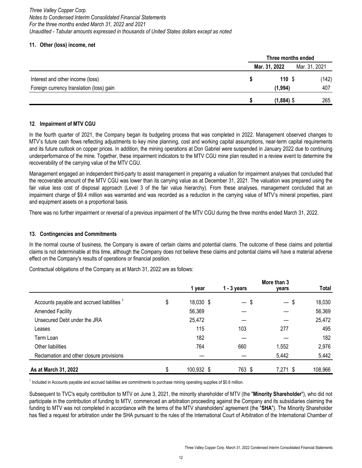# **11. Other (loss) income, net**

|                                          | Three months ended |               |  |
|------------------------------------------|--------------------|---------------|--|
|                                          | Mar. 31, 2022      | Mar. 31, 2021 |  |
| Interest and other income (loss)         | 110S               | (142)         |  |
| Foreign currency translation (loss) gain | (1, 994)           | 407           |  |
|                                          | $(1,884)$ \$       | 265           |  |

# **12**. **Impairment of MTV CGU**

In the fourth quarter of 2021, the Company began its budgeting process that was completed in 2022. Management observed changes to MTV's future cash flows reflecting adjustments to key mine planning, cost and working capital assumptions, near-term capital requirements and its future outlook on copper prices. In addition, the mining operations at Don Gabriel were suspended in January 2022 due to continuing underperformance of the mine. Together, these impairment indicators to the MTV CGU mine plan resulted in a review event to determine the recoverability of the carrying value of the MTV CGU.

Management engaged an independent third-party to assist management in preparing a valuation for impairment analyses that concluded that the recoverable amount of the MTV CGU was lower than its carrying value as at December 31, 2021. The valuation was prepared using the fair value less cost of disposal approach (Level 3 of the fair value hierarchy). From these analyses, management concluded that an impairment charge of \$9.4 million was warranted and was recorded as a reduction in the carrying value of MTV's mineral properties, plant and equipment assets on a proportional basis.

There was no further impairment or reversal of a previous impairment of the MTV CGU during the three months ended March 31, 2022.

# **13. Contingencies and Commitments**

In the normal course of business, the Company is aware of certain claims and potential claims. The outcome of these claims and potential claims is not determinable at this time, although the Company does not believe these claims and potential claims will have a material adverse effect on the Company's results of operations or financial position.

Contractual obligations of the Company as at March 31, 2022 are as follows:

|                                                       | More than 3      |                         |          |              |  |  |
|-------------------------------------------------------|------------------|-------------------------|----------|--------------|--|--|
|                                                       | 1 year           | $1 - 3$ years           | years    | <b>Total</b> |  |  |
| Accounts payable and accrued liabilities <sup>1</sup> | \$<br>18,030 \$  | \$<br>$\qquad \qquad -$ | $-$ \$   | 18,030       |  |  |
| <b>Amended Facility</b>                               | 56,369           |                         |          | 56,369       |  |  |
| Unsecured Debt under the JRA                          | 25,472           |                         |          | 25,472       |  |  |
| Leases                                                | 115              | 103                     | 277      | 495          |  |  |
| Term Loan                                             | 182              |                         |          | 182          |  |  |
| Other liabilities                                     | 764              | 660                     | 1,552    | 2,976        |  |  |
| Reclamation and other closure provisions              |                  |                         | 5,442    | 5,442        |  |  |
| As at March 31, 2022                                  | \$<br>100,932 \$ | 763 \$                  | 7,271 \$ | 108,966      |  |  |

 $1$  Included in Accounts payable and accrued liabilities are commitments to purchase mining operating supplies of \$0.6 million.

Subsequent to TVC's equity contribution to MTV on June 3, 2021, the minority shareholder of MTV (the "**Minority Shareholder**"), who did not participate in the contribution of funding to MTV, commenced an arbitration proceeding against the Company and its subsidiaries claiming the funding to MTV was not completed in accordance with the terms of the MTV shareholders' agreement (the "**SHA**"). The Minority Shareholder has filed a request for arbitration under the SHA pursuant to the rules of the International Court of Arbitration of the International Chamber of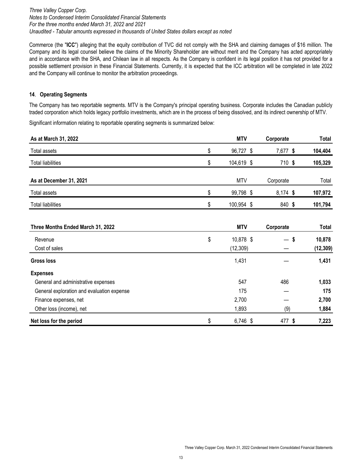Commerce (the "**ICC**") alleging that the equity contribution of TVC did not comply with the SHA and claiming damages of \$16 million. The Company and its legal counsel believe the claims of the Minority Shareholder are without merit and the Company has acted appropriately and in accordance with the SHA, and Chilean law in all respects. As the Company is confident in its legal position it has not provided for a possible settlement provision in these Financial Statements. Currently, it is expected that the ICC arbitration will be completed in late 2022 and the Company will continue to monitor the arbitration proceedings.

# **14**. **Operating Segments**

The Company has two reportable segments. MTV is the Company's principal operating business. Corporate includes the Canadian publicly traded corporation which holds legacy portfolio investments, which are in the process of being dissolved, and its indirect ownership of MTV.

Significant information relating to reportable operating segments is summarized below:

| As at March 31, 2022                       | <b>MTV</b>                   | Corporate |        | Total               |
|--------------------------------------------|------------------------------|-----------|--------|---------------------|
| <b>Total assets</b>                        | \$<br>96,727 \$              | 7,677 \$  |        | 104,404             |
| <b>Total liabilities</b>                   | \$<br>104,619 \$             |           | 710 \$ | 105,329             |
| As at December 31, 2021                    | <b>MTV</b>                   | Corporate |        | Total               |
| <b>Total assets</b>                        | \$<br>99,798 \$              | 8,174 \$  |        | 107,972             |
| <b>Total liabilities</b>                   | \$<br>100,954 \$             |           | 840 \$ | 101,794             |
| Three Months Ended March 31, 2022          | <b>MTV</b>                   | Corporate |        | Total               |
| Revenue<br>Cost of sales                   | \$<br>10,878 \$<br>(12, 309) |           | $-$ \$ | 10,878<br>(12, 309) |
| Gross loss                                 | 1,431                        |           |        | 1,431               |
| <b>Expenses</b>                            |                              |           |        |                     |
| General and administrative expenses        | 547                          | 486       |        | 1,033               |
| General exploration and evaluation expense | 175                          |           |        | 175                 |
| Finance expenses, net                      | 2,700                        |           |        | 2,700               |
| Other loss (income), net                   | 1,893                        |           | (9)    | 1,884               |

**Net loss for the period 6.746 \$ 6,746 \$ 477 \$ 7,223**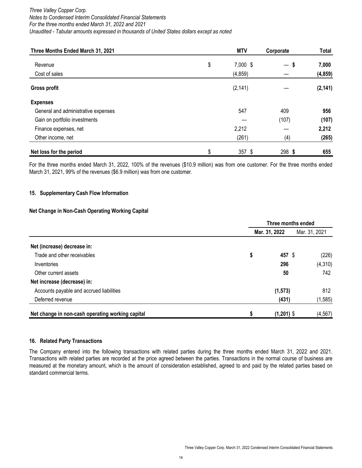| Three Months Ended March 31, 2021   | <b>MTV</b>     | Corporate | <b>Total</b> |
|-------------------------------------|----------------|-----------|--------------|
| Revenue                             | \$<br>7,000 \$ | $-s$      | 7,000        |
| Cost of sales                       | (4, 859)       |           | (4, 859)     |
| <b>Gross profit</b>                 | (2, 141)       |           | (2, 141)     |
| <b>Expenses</b>                     |                |           |              |
| General and administrative expenses | 547            | 409       | 956          |
| Gain on portfolio investments       |                | (107)     | (107)        |
| Finance expenses, net               | 2,212          |           | 2,212        |
| Other income, net                   | (261)          | (4)       | (265)        |
| Net loss for the period             | \$<br>$357$ \$ | 298 \$    | 655          |

For the three months ended March 31, 2022, 100% of the revenues (\$10.9 million) was from one customer. For the three months ended March 31, 2021, 99% of the revenues (\$6.9 million) was from one customer.

# **15. Supplementary Cash Flow Information**

### **Net Change in Non-Cash Operating Working Capital**

|                                                  | Three months ended |               |               |  |
|--------------------------------------------------|--------------------|---------------|---------------|--|
|                                                  |                    | Mar. 31, 2022 | Mar. 31, 2021 |  |
| Net (increase) decrease in:                      |                    |               |               |  |
| Trade and other receivables                      | \$                 | 457 \$        | (226)         |  |
| Inventories                                      |                    | 296           | (4,310)       |  |
| Other current assets                             |                    | 50            | 742           |  |
| Net increase (decrease) in:                      |                    |               |               |  |
| Accounts payable and accrued liabilities         |                    | (1, 573)      | 812           |  |
| Deferred revenue                                 |                    | (431)         | (1,585)       |  |
| Net change in non-cash operating working capital | S                  | $(1,201)$ \$  | (4, 567)      |  |

#### **16. Related Party Transactions**

The Company entered into the following transactions with related parties during the three months ended March 31, 2022 and 2021. Transactions with related parties are recorded at the price agreed between the parties. Transactions in the normal course of business are measured at the monetary amount, which is the amount of consideration established, agreed to and paid by the related parties based on standard commercial terms.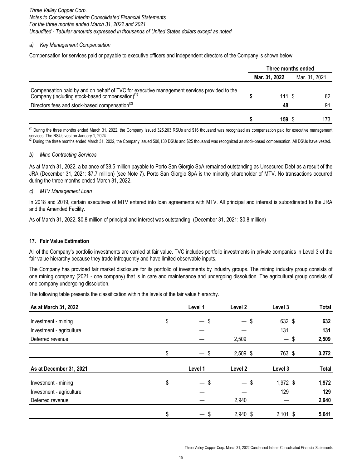## *a) Key Management Compensation*

Compensation for services paid or payable to executive officers and independent directors of the Company is shown below:

|                                                                                                                                                                                                                       | Three months ended |            |               |          |
|-----------------------------------------------------------------------------------------------------------------------------------------------------------------------------------------------------------------------|--------------------|------------|---------------|----------|
|                                                                                                                                                                                                                       | Mar. 31, 2022      |            | Mar. 31, 2021 |          |
| Compensation paid by and on behalf of TVC for executive management services provided to the Company (including stock-based compensation) <sup>(1)</sup><br>Directors fees and stock-based compensation <sup>(2)</sup> |                    | 111S<br>48 |               | 82<br>91 |
|                                                                                                                                                                                                                       |                    | 159 S      |               | 173      |

 $<sup>(1)</sup>$  During the three months ended March 31, 2022, the Company issued 325,203 RSUs and \$16 thousand was recognized as compensation paid for executive management</sup> services. The RSUs vest on January 1, 2024.

 $^{(2)}$  During the three months ended March 31, 2022, the Company issued 508,130 DSUs and \$25 thousand was recognized as stock-based compensation. All DSUs have vested.

### *b) Mine Contracting Services*

As at March 31, 2022, a balance of \$8.5 million payable to Porto San Giorgio SpA remained outstanding as Unsecured Debt as a result of the JRA (December 31, 2021: \$7.7 million) (see Note 7). Porto San Giorgio SpA is the minority shareholder of MTV. No transactions occurred during the three months ended March 31, 2022.

### *c) MTV Management Loan*

In 2018 and 2019, certain executives of MTV entered into loan agreements with MTV. All principal and interest is subordinated to the JRA and the Amended Facility.

As of March 31, 2022, \$0.8 million of principal and interest was outstanding. (December 31, 2021: \$0.8 million)

# **17. Fair Value Estimation**

All of the Company's portfolio investments are carried at fair value. TVC includes portfolio investments in private companies in Level 3 of the fair value hierarchy because they trade infrequently and have limited observable inputs.

The Company has provided fair market disclosure for its portfolio of investments by industry groups. The mining industry group consists of one mining company (2021 - one company) that is in care and maintenance and undergoing dissolution. The agricultural group consists of one company undergoing dissolution.

The following table presents the classification within the levels of the fair value hierarchy.

| As at March 31, 2022     | Level 1                                    | Level 2                        | Level 3                                | Total        |
|--------------------------|--------------------------------------------|--------------------------------|----------------------------------------|--------------|
| Investment - mining      | \$<br>\$<br>$-$                            | \$<br>$\overline{\phantom{0}}$ | 632 \$                                 | 632          |
| Investment - agriculture |                                            |                                | 131                                    | 131          |
| Deferred revenue         |                                            | 2,509                          | - \$<br>$\qquad \qquad \longleftarrow$ | 2,509        |
|                          | \$<br>— \$                                 | 2,509 \$                       | 763 \$                                 | 3,272        |
| As at December 31, 2021  | Level 1                                    | Level 2                        | Level 3                                | <b>Total</b> |
| Investment - mining      | \$<br>\$<br>$\qquad \qquad \longleftarrow$ | S<br>$\qquad \qquad -$         | 1,972 \$                               | 1,972        |
| Investment - agriculture |                                            |                                | 129                                    | 129          |
| Deferred revenue         |                                            | 2,940                          |                                        | 2,940        |
|                          | \$<br>\$<br>$\overline{\phantom{0}}$       | 2,940 \$                       | $2,101$ \$                             | 5,041        |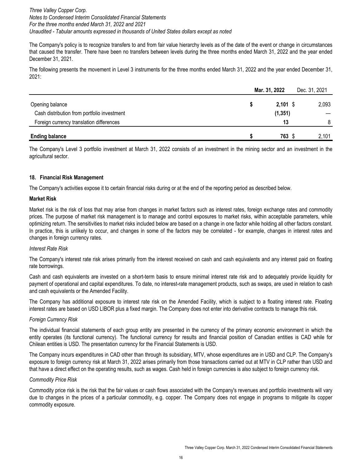The Company's policy is to recognize transfers to and from fair value hierarchy levels as of the date of the event or change in circumstances that caused the transfer. There have been no transfers between levels during the three months ended March 31, 2022 and the year ended December 31, 2021.

The following presents the movement in Level 3 instruments for the three months ended March 31, 2022 and the year ended December 31, 2021:

|                                             | Mar. 31, 2022 | Dec. 31, 2021 |
|---------------------------------------------|---------------|---------------|
| Opening balance                             | $2,101$ \$    | 2,093         |
| Cash distribution from portfolio investment | (1, 351)      |               |
| Foreign currency translation differences    | 13            | 8             |
| <b>Ending balance</b>                       | 763 S         | 2,101         |

The Company's Level 3 portfolio investment at March 31, 2022 consists of an investment in the mining sector and an investment in the agricultural sector.

# **18. Financial Risk Management**

The Company's activities expose it to certain financial risks during or at the end of the reporting period as described below.

# **Market Risk**

Market risk is the risk of loss that may arise from changes in market factors such as interest rates, foreign exchange rates and commodity prices. The purpose of market risk management is to manage and control exposures to market risks, within acceptable parameters, while optimizing return. The sensitivities to market risks included below are based on a change in one factor while holding all other factors constant. In practice, this is unlikely to occur, and changes in some of the factors may be correlated - for example, changes in interest rates and changes in foreign currency rates.

#### *Interest Rate Risk*

The Company's interest rate risk arises primarily from the interest received on cash and cash equivalents and any interest paid on floating rate borrowings.

Cash and cash equivalents are invested on a short-term basis to ensure minimal interest rate risk and to adequately provide liquidity for payment of operational and capital expenditures. To date, no interest-rate management products, such as swaps, are used in relation to cash and cash equivalents or the Amended Facility.

The Company has additional exposure to interest rate risk on the Amended Facility, which is subject to a floating interest rate. Floating interest rates are based on USD LIBOR plus a fixed margin. The Company does not enter into derivative contracts to manage this risk.

# *Foreign Currency Risk*

The individual financial statements of each group entity are presented in the currency of the primary economic environment in which the entity operates (its functional currency). The functional currency for results and financial position of Canadian entities is CAD while for Chilean entities is USD. The presentation currency for the Financial Statements is USD.

The Company incurs expenditures in CAD other than through its subsidiary, MTV, whose expenditures are in USD and CLP. The Company's exposure to foreign currency risk at March 31, 2022 arises primarily from those transactions carried out at MTV in CLP rather than USD and that have a direct effect on the operating results, such as wages. Cash held in foreign currencies is also subject to foreign currency risk.

#### *Commodity Price Risk*

Commodity price risk is the risk that the fair values or cash flows associated with the Company's revenues and portfolio investments will vary due to changes in the prices of a particular commodity, e.g. copper. The Company does not engage in programs to mitigate its copper commodity exposure.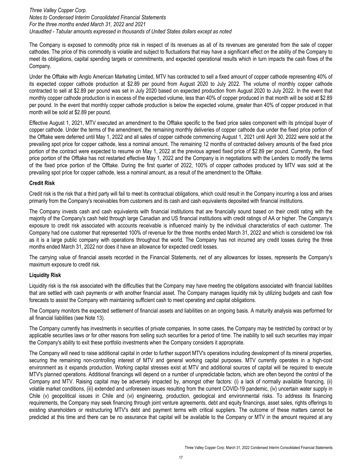The Company is exposed to commodity price risk in respect of its revenues as all of its revenues are generated from the sale of copper cathodes. The price of this commodity is volatile and subject to fluctuations that may have a significant effect on the ability of the Company to meet its obligations, capital spending targets or commitments, and expected operational results which in turn impacts the cash flows of the Company.

Under the Offtake with Anglo American Marketing Limited, MTV has contracted to sell a fixed amount of copper cathode representing 40% of its expected copper cathode production at \$2.89 per pound from August 2020 to July 2022. The volume of monthly copper cathode contracted to sell at \$2.89 per pound was set in July 2020 based on expected production from August 2020 to July 2022. In the event that monthly copper cathode production is in excess of the expected volume, less than 40% of copper produced in that month will be sold at \$2.89 per pound. In the event that monthly copper cathode production is below the expected volume, greater than 40% of copper produced in that month will be sold at \$2.89 per pound.

Effective August 1, 2021, MTV executed an amendment to the Offtake specific to the fixed price sales component with its principal buyer of copper cathode. Under the terms of the amendment, the remaining monthly deliveries of copper cathode due under the fixed price portion of the Offtake were deferred until May 1, 2022 and all sales of copper cathode commencing August 1, 2021 until April 30, 2022 were sold at the prevailing spot price for copper cathode, less a nominal amount. The remaining 12 months of contracted delivery amounts of the fixed price portion of the contract were expected to resume on May 1, 2022 at the previous agreed fixed price of \$2.89 per pound. Currently, the fixed price portion of the Offtake has not restarted effective May 1, 2022 and the Company is in negotiations with the Lenders to modify the terms of the fixed price portion of the Offtake. During the first quarter of 2022, 100% of copper cathodes produced by MTV was sold at the prevailing spot price for copper cathode, less a nominal amount, as a result of the amendment to the Offtake.

### **Credit Risk**

Credit risk is the risk that a third party will fail to meet its contractual obligations, which could result in the Company incurring a loss and arises primarily from the Company's receivables from customers and its cash and cash equivalents deposited with financial institutions.

The Company invests cash and cash equivalents with financial institutions that are financially sound based on their credit rating with the majority of the Company's cash held through large Canadian and US financial institutions with credit ratings of AA or higher. The Company's exposure to credit risk associated with accounts receivable is influenced mainly by the individual characteristics of each customer. The Company had one customer that represented 100% of revenue for the three months ended March 31, 2022 and which is considered low risk as it is a large public company with operations throughout the world. The Company has not incurred any credit losses during the three months ended March 31, 2022 nor does it have an allowance for expected credit losses.

The carrying value of financial assets recorded in the Financial Statements, net of any allowances for losses, represents the Company's maximum exposure to credit risk.

# **Liquidity Risk**

Liquidity risk is the risk associated with the difficulties that the Company may have meeting the obligations associated with financial liabilities that are settled with cash payments or with another financial asset. The Company manages liquidity risk by utilizing budgets and cash flow forecasts to assist the Company with maintaining sufficient cash to meet operating and capital obligations.

The Company monitors the expected settlement of financial assets and liabilities on an ongoing basis. A maturity analysis was performed for all financial liabilities (see Note 13).

The Company currently has investments in securities of private companies. In some cases, the Company may be restricted by contract or by applicable securities laws or for other reasons from selling such securities for a period of time. The inability to sell such securities may impair the Company's ability to exit these portfolio investments when the Company considers it appropriate.

The Company will need to raise additional capital in order to further support MTV's operations including development of its mineral properties, securing the remaining non-controlling interest of MTV and general working capital purposes. MTV currently operates in a high-cost environment as it expands production. Working capital stresses exist at MTV and additional sources of capital will be required to execute MTV's planned operations. Additional financings will depend on a number of unpredictable factors, which are often beyond the control of the Company and MTV. Raising capital may be adversely impacted by, amongst other factors: (i) a lack of normally available financing, (ii) volatile market conditions, (iii) extended and unforeseen issues resulting from the current COVID-19 pandemic, (iv) uncertain water supply in Chile (v) geopolitical issues in Chile and (vi) engineering, production, geological and environmental risks. To address its financing requirements, the Company may seek financing through joint venture agreements, debt and equity financings, asset sales, rights offerings to existing shareholders or restructuring MTV's debt and payment terms with critical suppliers. The outcome of these matters cannot be predicted at this time and there can be no assurance that capital will be available to the Company or MTV in the amount required at any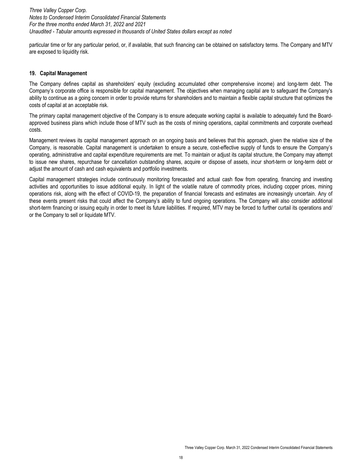particular time or for any particular period, or, if available, that such financing can be obtained on satisfactory terms. The Company and MTV are exposed to liquidity risk.

#### **19. Capital Management**

The Company defines capital as shareholders' equity (excluding accumulated other comprehensive income) and long-term debt. The Company's corporate office is responsible for capital management. The objectives when managing capital are to safeguard the Company's ability to continue as a going concern in order to provide returns for shareholders and to maintain a flexible capital structure that optimizes the costs of capital at an acceptable risk.

The primary capital management objective of the Company is to ensure adequate working capital is available to adequately fund the Boardapproved business plans which include those of MTV such as the costs of mining operations, capital commitments and corporate overhead costs.

Management reviews its capital management approach on an ongoing basis and believes that this approach, given the relative size of the Company, is reasonable. Capital management is undertaken to ensure a secure, cost-effective supply of funds to ensure the Company's operating, administrative and capital expenditure requirements are met. To maintain or adjust its capital structure, the Company may attempt to issue new shares, repurchase for cancellation outstanding shares, acquire or dispose of assets, incur short-term or long-term debt or adjust the amount of cash and cash equivalents and portfolio investments.

Capital management strategies include continuously monitoring forecasted and actual cash flow from operating, financing and investing activities and opportunities to issue additional equity. In light of the volatile nature of commodity prices, including copper prices, mining operations risk, along with the effect of COVID-19, the preparation of financial forecasts and estimates are increasingly uncertain. Any of these events present risks that could affect the Company's ability to fund ongoing operations. The Company will also consider additional short-term financing or issuing equity in order to meet its future liabilities. If required, MTV may be forced to further curtail its operations and/ or the Company to sell or liquidate MTV.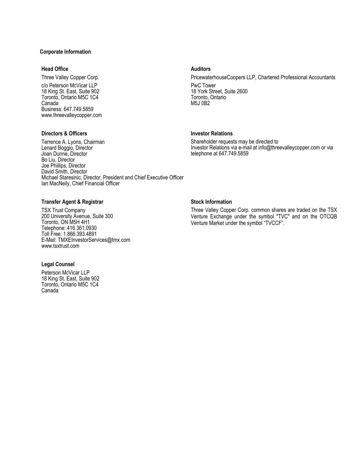# **Corporate Information**

#### **Head Office Auditors Auditors**

c/o Peterson McVicar LLP 18 King St. East, Suite 902 Toronto, Ontario M5C 1C4 Canada Business: 647.749.5859 www.threevalleycopper.com

# **Directors & Officers Investor Relations**

Three Valley Copper Corp. PricewaterhouseCoopers LLP, Chartered Professional Accountants

PwC Tower 18 York Street, Suite 2600 Toronto, Ontario M5J 0B2

Shareholder requests may be directed to Investor Relations via e-mail at info@threevalleycopper.com or via telephone at 647.749.5859

Terrence A. Lyons, Chairman Lenard Boggio, Director Joan Dunne, Director Bo Liu, Director Joe Phillips, Director David Smith, Director Michael Staresinic, Director, President and Chief Executive Officer Ian MacNeily, Chief Financial Officer

# **Transfer Agent & Registrar Stock Information**

TSX Trust Company 200 University Avenue, Suite 300 Toronto, ON M5H 4H1 Telephone: 416.361.0930 Toll Free: 1.866.393.4891 E-Mail: TMXEInvestorServices@tmx.com www.tsxtrust.com

#### **Legal Counsel**

Peterson McVicar LLP 18 King St. East, Suite 902 Toronto, Ontario M5C 1C4 Canada

Three Valley Copper Corp. common shares are traded on the TSX Venture Exchange under the symbol "TVC" and on the OTCQB Venture Market under the symbol "TVCCF".